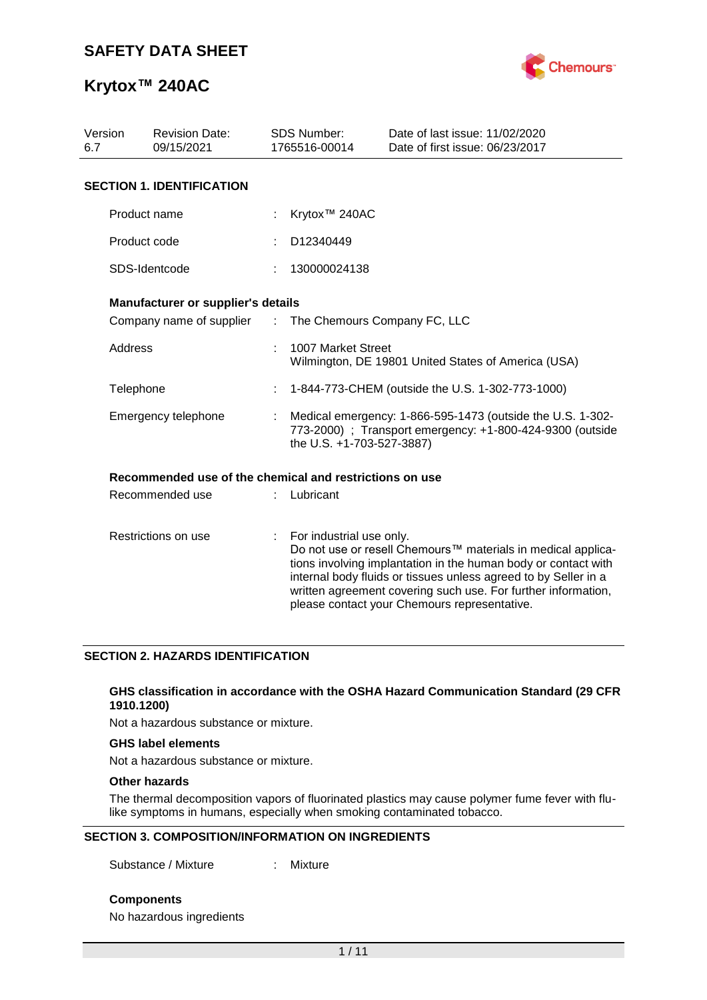

| Version<br>6.7 | <b>Revision Date:</b><br>09/15/2021                     |                | <b>SDS Number:</b><br>1765516-00014                                                                                                                  | Date of last issue: 11/02/2020<br>Date of first issue: 06/23/2017                                                                                                                                                                                                                                                  |  |  |  |
|----------------|---------------------------------------------------------|----------------|------------------------------------------------------------------------------------------------------------------------------------------------------|--------------------------------------------------------------------------------------------------------------------------------------------------------------------------------------------------------------------------------------------------------------------------------------------------------------------|--|--|--|
|                | <b>SECTION 1. IDENTIFICATION</b>                        |                |                                                                                                                                                      |                                                                                                                                                                                                                                                                                                                    |  |  |  |
|                | Product name                                            |                | Krytox <sup>™</sup> 240AC                                                                                                                            |                                                                                                                                                                                                                                                                                                                    |  |  |  |
|                | Product code                                            |                | D12340449                                                                                                                                            |                                                                                                                                                                                                                                                                                                                    |  |  |  |
|                | SDS-Identcode                                           |                | 130000024138                                                                                                                                         |                                                                                                                                                                                                                                                                                                                    |  |  |  |
|                | Manufacturer or supplier's details                      |                |                                                                                                                                                      |                                                                                                                                                                                                                                                                                                                    |  |  |  |
|                | Company name of supplier                                | $\mathcal{L}$  | The Chemours Company FC, LLC                                                                                                                         |                                                                                                                                                                                                                                                                                                                    |  |  |  |
|                | Address                                                 |                | 1007 Market Street<br>Wilmington, DE 19801 United States of America (USA)                                                                            |                                                                                                                                                                                                                                                                                                                    |  |  |  |
| Telephone      |                                                         |                |                                                                                                                                                      | 1-844-773-CHEM (outside the U.S. 1-302-773-1000)                                                                                                                                                                                                                                                                   |  |  |  |
|                | Emergency telephone                                     |                | Medical emergency: 1-866-595-1473 (outside the U.S. 1-302-<br>773-2000) ; Transport emergency: +1-800-424-9300 (outside<br>the U.S. +1-703-527-3887) |                                                                                                                                                                                                                                                                                                                    |  |  |  |
|                | Recommended use of the chemical and restrictions on use |                |                                                                                                                                                      |                                                                                                                                                                                                                                                                                                                    |  |  |  |
|                | Recommended use                                         |                | Lubricant                                                                                                                                            |                                                                                                                                                                                                                                                                                                                    |  |  |  |
|                | Restrictions on use                                     | $\mathbb{R}^n$ | For industrial use only.                                                                                                                             | Do not use or resell Chemours™ materials in medical applica-<br>tions involving implantation in the human body or contact with<br>internal body fluids or tissues unless agreed to by Seller in a<br>written agreement covering such use. For further information,<br>please contact your Chemours representative. |  |  |  |

## **SECTION 2. HAZARDS IDENTIFICATION**

#### **GHS classification in accordance with the OSHA Hazard Communication Standard (29 CFR 1910.1200)**

Not a hazardous substance or mixture.

#### **GHS label elements**

Not a hazardous substance or mixture.

## **Other hazards**

The thermal decomposition vapors of fluorinated plastics may cause polymer fume fever with flulike symptoms in humans, especially when smoking contaminated tobacco.

## **SECTION 3. COMPOSITION/INFORMATION ON INGREDIENTS**

Substance / Mixture : Mixture

**Components**

No hazardous ingredients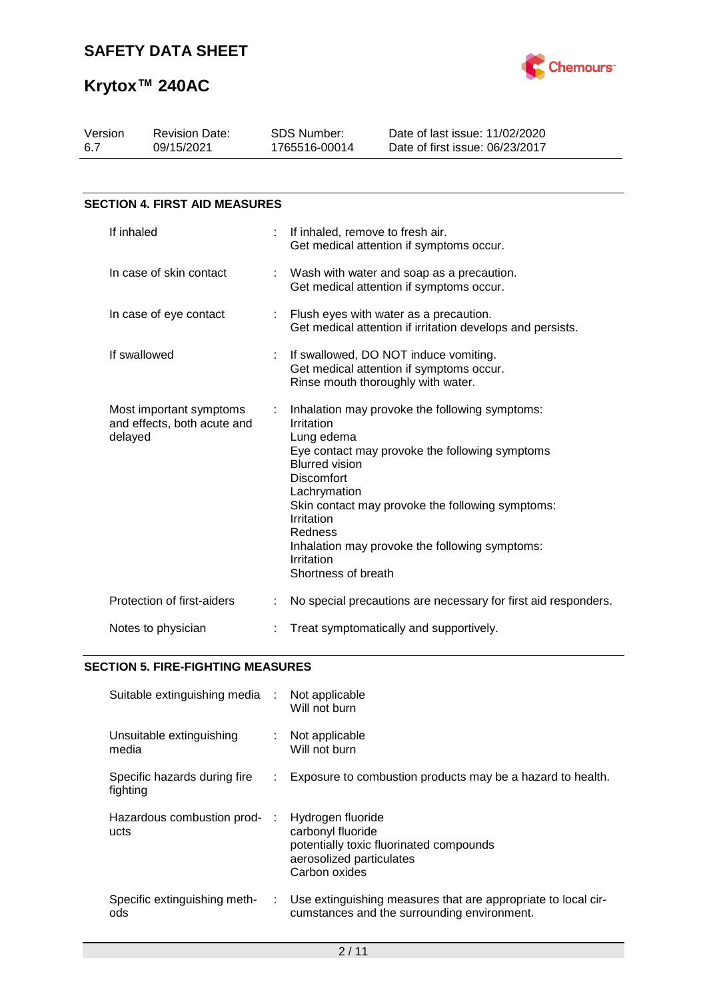

| Version<br>6.7         |              | <b>Revision Date:</b><br>09/15/2021                    |    | <b>SDS Number:</b><br>1765516-00014                                                                                                                  | Date of last issue: 11/02/2020<br>Date of first issue: 06/23/2017                                                                                                                                      |  |  |
|------------------------|--------------|--------------------------------------------------------|----|------------------------------------------------------------------------------------------------------------------------------------------------------|--------------------------------------------------------------------------------------------------------------------------------------------------------------------------------------------------------|--|--|
|                        |              |                                                        |    |                                                                                                                                                      |                                                                                                                                                                                                        |  |  |
|                        |              | <b>SECTION 4. FIRST AID MEASURES</b>                   |    |                                                                                                                                                      |                                                                                                                                                                                                        |  |  |
|                        | If inhaled   |                                                        | ÷. | If inhaled, remove to fresh air.                                                                                                                     | Get medical attention if symptoms occur.                                                                                                                                                               |  |  |
|                        |              | In case of skin contact                                |    |                                                                                                                                                      | Wash with water and soap as a precaution.<br>Get medical attention if symptoms occur.                                                                                                                  |  |  |
| In case of eye contact |              |                                                        |    | Flush eyes with water as a precaution.<br>Get medical attention if irritation develops and persists.                                                 |                                                                                                                                                                                                        |  |  |
|                        | If swallowed |                                                        | ÷  |                                                                                                                                                      | If swallowed, DO NOT induce vomiting.<br>Get medical attention if symptoms occur.<br>Rinse mouth thoroughly with water.                                                                                |  |  |
|                        | delayed      | Most important symptoms<br>and effects, both acute and |    | Irritation<br>Lung edema<br><b>Blurred vision</b><br><b>Discomfort</b><br>Lachrymation<br>Irritation<br>Redness<br>Irritation<br>Shortness of breath | Inhalation may provoke the following symptoms:<br>Eye contact may provoke the following symptoms<br>Skin contact may provoke the following symptoms:<br>Inhalation may provoke the following symptoms: |  |  |
|                        |              | Protection of first-aiders                             |    |                                                                                                                                                      | No special precautions are necessary for first aid responders.                                                                                                                                         |  |  |
|                        |              | Notes to physician                                     |    |                                                                                                                                                      | Treat symptomatically and supportively.                                                                                                                                                                |  |  |

## **SECTION 5. FIRE-FIGHTING MEASURES**

| Suitable extinguishing media :           |    | Not applicable<br>Will not burn                                                                                                |
|------------------------------------------|----|--------------------------------------------------------------------------------------------------------------------------------|
| Unsuitable extinguishing<br>media        |    | Not applicable<br>Will not burn                                                                                                |
| Specific hazards during fire<br>fighting | ÷. | Exposure to combustion products may be a hazard to health.                                                                     |
| Hazardous combustion prod-<br>ucts       |    | Hydrogen fluoride<br>carbonyl fluoride<br>potentially toxic fluorinated compounds<br>aerosolized particulates<br>Carbon oxides |
| Specific extinguishing meth-<br>ods      | ÷. | Use extinguishing measures that are appropriate to local cir-<br>cumstances and the surrounding environment.                   |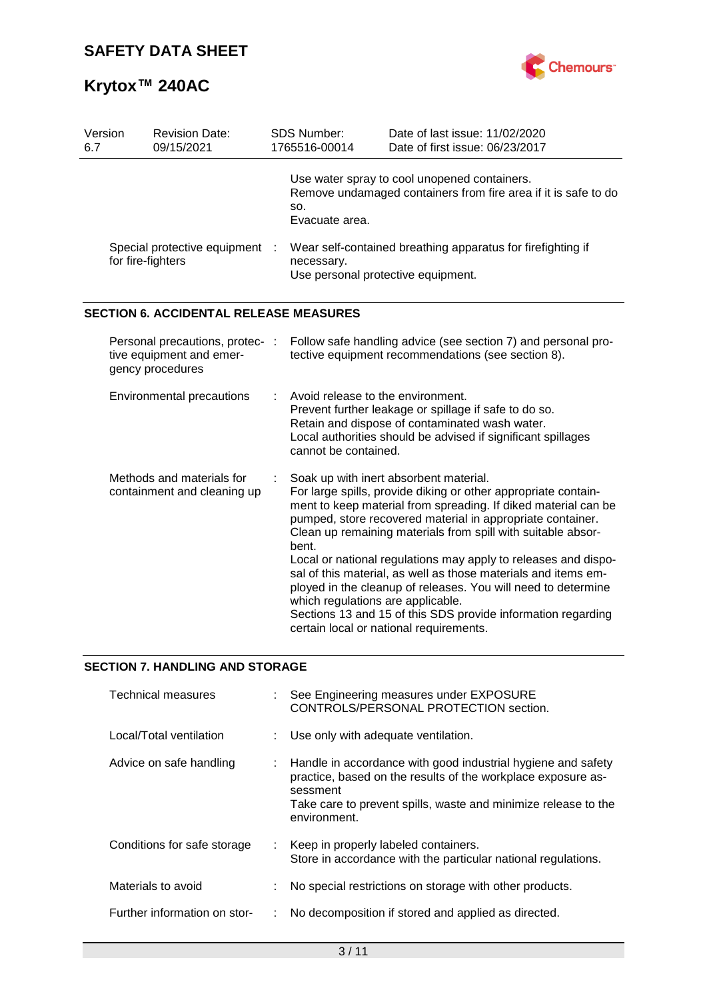

| Version<br>6.7                                                                  | SDS Number:<br><b>Revision Date:</b><br>09/15/2021<br>1765516-00014 |  |                                                                                                                                                                                                                                                                                                                                                                                                                                                                                                                                                                                                                                                                        | Date of last issue: 11/02/2020<br>Date of first issue: 06/23/2017                                              |  |  |  |
|---------------------------------------------------------------------------------|---------------------------------------------------------------------|--|------------------------------------------------------------------------------------------------------------------------------------------------------------------------------------------------------------------------------------------------------------------------------------------------------------------------------------------------------------------------------------------------------------------------------------------------------------------------------------------------------------------------------------------------------------------------------------------------------------------------------------------------------------------------|----------------------------------------------------------------------------------------------------------------|--|--|--|
|                                                                                 |                                                                     |  | SO.<br>Evacuate area.                                                                                                                                                                                                                                                                                                                                                                                                                                                                                                                                                                                                                                                  | Use water spray to cool unopened containers.<br>Remove undamaged containers from fire area if it is safe to do |  |  |  |
| Special protective equipment<br>for fire-fighters                               |                                                                     |  | Wear self-contained breathing apparatus for firefighting if<br>necessary.<br>Use personal protective equipment.                                                                                                                                                                                                                                                                                                                                                                                                                                                                                                                                                        |                                                                                                                |  |  |  |
|                                                                                 | <b>SECTION 6. ACCIDENTAL RELEASE MEASURES</b>                       |  |                                                                                                                                                                                                                                                                                                                                                                                                                                                                                                                                                                                                                                                                        |                                                                                                                |  |  |  |
| Personal precautions, protec- :<br>tive equipment and emer-<br>gency procedures |                                                                     |  | Follow safe handling advice (see section 7) and personal pro-<br>tective equipment recommendations (see section 8).                                                                                                                                                                                                                                                                                                                                                                                                                                                                                                                                                    |                                                                                                                |  |  |  |
| Environmental precautions                                                       |                                                                     |  | Avoid release to the environment.<br>Prevent further leakage or spillage if safe to do so.<br>Retain and dispose of contaminated wash water.<br>Local authorities should be advised if significant spillages<br>cannot be contained.                                                                                                                                                                                                                                                                                                                                                                                                                                   |                                                                                                                |  |  |  |
| Methods and materials for<br>containment and cleaning up                        |                                                                     |  | Soak up with inert absorbent material.<br>For large spills, provide diking or other appropriate contain-<br>ment to keep material from spreading. If diked material can be<br>pumped, store recovered material in appropriate container.<br>Clean up remaining materials from spill with suitable absor-<br>bent.<br>Local or national regulations may apply to releases and dispo-<br>sal of this material, as well as those materials and items em-<br>ployed in the cleanup of releases. You will need to determine<br>which regulations are applicable.<br>Sections 13 and 15 of this SDS provide information regarding<br>certain local or national requirements. |                                                                                                                |  |  |  |

## **SECTION 7. HANDLING AND STORAGE**

| <b>Technical measures</b>    | : See Engineering measures under EXPOSURE<br>CONTROLS/PERSONAL PROTECTION section.                                                                                                                                           |
|------------------------------|------------------------------------------------------------------------------------------------------------------------------------------------------------------------------------------------------------------------------|
| Local/Total ventilation      | : Use only with adequate ventilation.                                                                                                                                                                                        |
| Advice on safe handling      | : Handle in accordance with good industrial hygiene and safety<br>practice, based on the results of the workplace exposure as-<br>sessment<br>Take care to prevent spills, waste and minimize release to the<br>environment. |
| Conditions for safe storage  | : Keep in properly labeled containers.<br>Store in accordance with the particular national regulations.                                                                                                                      |
| Materials to avoid           | No special restrictions on storage with other products.                                                                                                                                                                      |
| Further information on stor- | No decomposition if stored and applied as directed.                                                                                                                                                                          |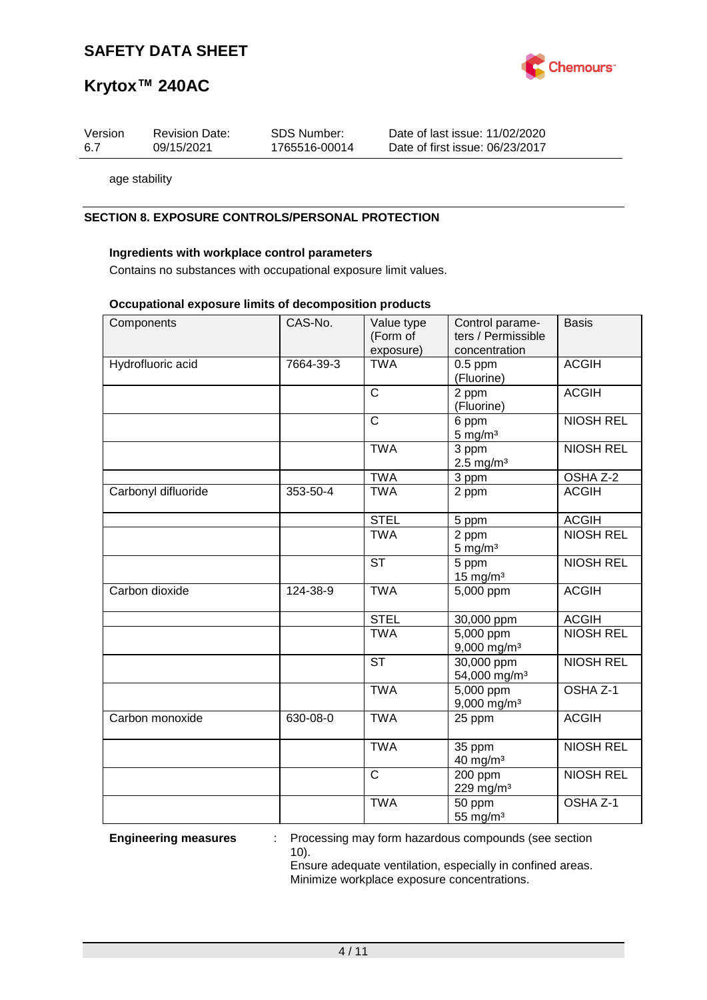

# **Krytox™ 240AC**

| Version | <b>Revision Date:</b> | SDS Number:   | Date of last issue: 11/02/2020  |
|---------|-----------------------|---------------|---------------------------------|
| -6.7    | 09/15/2021            | 1765516-00014 | Date of first issue: 06/23/2017 |

age stability

## **SECTION 8. EXPOSURE CONTROLS/PERSONAL PROTECTION**

### **Ingredients with workplace control parameters**

Contains no substances with occupational exposure limit values.

#### **Occupational exposure limits of decomposition products**

| Components          | CAS-No.   | Value type<br>(Form of<br>exposure) | Control parame-<br>ters / Permissible<br>concentration | <b>Basis</b>     |
|---------------------|-----------|-------------------------------------|--------------------------------------------------------|------------------|
| Hydrofluoric acid   | 7664-39-3 | <b>TWA</b>                          | $0.5$ ppm<br>(Fluorine)                                | <b>ACGIH</b>     |
|                     |           | $\overline{\text{c}}$               | 2 ppm<br>(Fluorine)                                    | <b>ACGIH</b>     |
|                     |           | $\mathsf{C}$                        | 6 ppm<br>$5 \text{ mg/m}^3$                            | <b>NIOSH REL</b> |
|                     |           | <b>TWA</b>                          | 3 ppm<br>$2.5$ mg/m <sup>3</sup>                       | <b>NIOSH REL</b> |
|                     |           | <b>TWA</b>                          | 3 ppm                                                  | OSHA Z-2         |
| Carbonyl difluoride | 353-50-4  | <b>TWA</b>                          | 2 ppm                                                  | <b>ACGIH</b>     |
|                     |           | <b>STEL</b>                         | 5 ppm                                                  | <b>ACGIH</b>     |
|                     |           | <b>TWA</b>                          | 2 ppm<br>$5 \text{ mg/m}^3$                            | <b>NIOSH REL</b> |
|                     |           | $\overline{\text{ST}}$              | 5 ppm<br>$15$ mg/m <sup>3</sup>                        | <b>NIOSH REL</b> |
| Carbon dioxide      | 124-38-9  | <b>TWA</b>                          | 5,000 ppm                                              | <b>ACGIH</b>     |
|                     |           | <b>STEL</b>                         | 30,000 ppm                                             | <b>ACGIH</b>     |
|                     |           | <b>TWA</b>                          | 5,000 ppm<br>9,000 mg/m <sup>3</sup>                   | <b>NIOSH REL</b> |
|                     |           | <b>ST</b>                           | 30,000 ppm<br>54,000 mg/m <sup>3</sup>                 | <b>NIOSH REL</b> |
|                     |           | <b>TWA</b>                          | $\overline{5,000}$ ppm<br>$9,000$ mg/m <sup>3</sup>    | OSHA Z-1         |
| Carbon monoxide     | 630-08-0  | <b>TWA</b>                          | 25 ppm                                                 | <b>ACGIH</b>     |
|                     |           | <b>TWA</b>                          | 35 ppm<br>$40$ mg/m <sup>3</sup>                       | <b>NIOSH REL</b> |
|                     |           | $\mathsf{C}$                        | 200 ppm<br>229 mg/m <sup>3</sup>                       | <b>NIOSH REL</b> |
|                     |           | <b>TWA</b>                          | 50 ppm<br>55 mg/m <sup>3</sup>                         | OSHA Z-1         |

**Engineering measures** : Processing may form hazardous compounds (see section 10).

Ensure adequate ventilation, especially in confined areas. Minimize workplace exposure concentrations.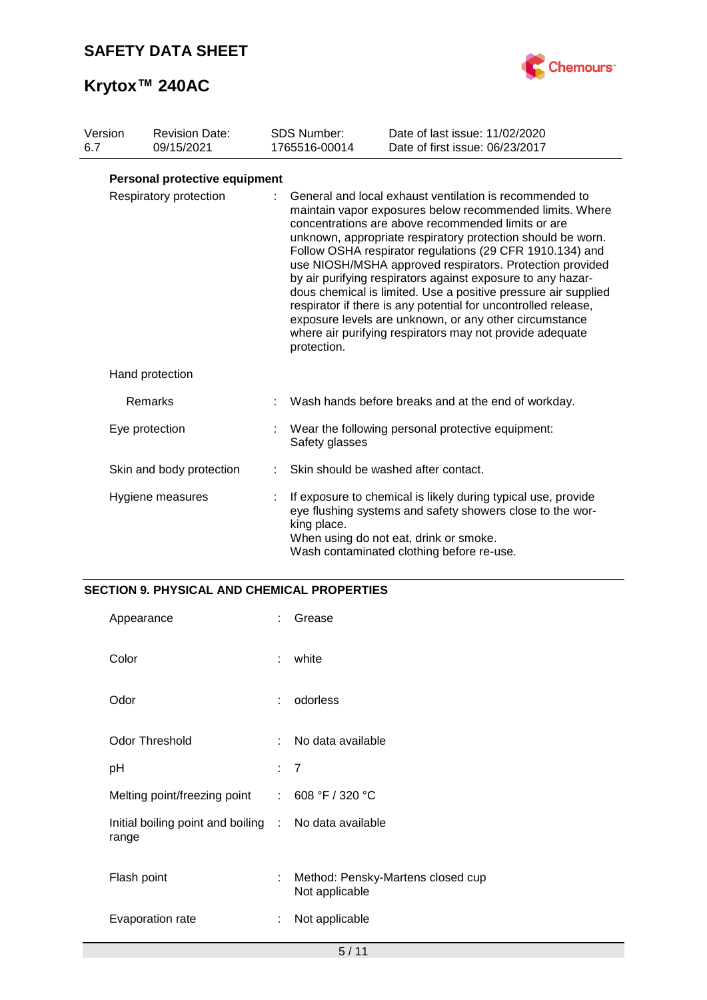

| Version<br>6.7 | <b>Revision Date:</b><br>09/15/2021 | <b>SDS Number:</b><br>1765516-00014 | Date of last issue: 11/02/2020<br>Date of first issue: 06/23/2017                                                                                                                                                                                                                                                                                                                                                                                                                                                                                                                                                                                                                         |
|----------------|-------------------------------------|-------------------------------------|-------------------------------------------------------------------------------------------------------------------------------------------------------------------------------------------------------------------------------------------------------------------------------------------------------------------------------------------------------------------------------------------------------------------------------------------------------------------------------------------------------------------------------------------------------------------------------------------------------------------------------------------------------------------------------------------|
|                | Personal protective equipment       |                                     |                                                                                                                                                                                                                                                                                                                                                                                                                                                                                                                                                                                                                                                                                           |
|                | Respiratory protection              | protection.                         | General and local exhaust ventilation is recommended to<br>maintain vapor exposures below recommended limits. Where<br>concentrations are above recommended limits or are<br>unknown, appropriate respiratory protection should be worn.<br>Follow OSHA respirator regulations (29 CFR 1910.134) and<br>use NIOSH/MSHA approved respirators. Protection provided<br>by air purifying respirators against exposure to any hazar-<br>dous chemical is limited. Use a positive pressure air supplied<br>respirator if there is any potential for uncontrolled release,<br>exposure levels are unknown, or any other circumstance<br>where air purifying respirators may not provide adequate |
|                | Hand protection                     |                                     |                                                                                                                                                                                                                                                                                                                                                                                                                                                                                                                                                                                                                                                                                           |
|                | Remarks                             |                                     | Wash hands before breaks and at the end of workday.                                                                                                                                                                                                                                                                                                                                                                                                                                                                                                                                                                                                                                       |
|                | Eye protection                      | Safety glasses                      | Wear the following personal protective equipment:                                                                                                                                                                                                                                                                                                                                                                                                                                                                                                                                                                                                                                         |
|                | Skin and body protection            |                                     | Skin should be washed after contact.                                                                                                                                                                                                                                                                                                                                                                                                                                                                                                                                                                                                                                                      |
|                | Hygiene measures                    | king place.                         | If exposure to chemical is likely during typical use, provide<br>eye flushing systems and safety showers close to the wor-<br>When using do not eat, drink or smoke.<br>Wash contaminated clothing before re-use.                                                                                                                                                                                                                                                                                                                                                                                                                                                                         |

## **SECTION 9. PHYSICAL AND CHEMICAL PROPERTIES**

| Appearance                                                     |    | Grease                                              |
|----------------------------------------------------------------|----|-----------------------------------------------------|
| Color                                                          | ÷  | white                                               |
| Odor                                                           | ÷  | odorless                                            |
| <b>Odor Threshold</b>                                          | ÷. | No data available                                   |
| рH                                                             |    | : 7                                                 |
| Melting point/freezing point : 608 °F / 320 °C                 |    |                                                     |
| Initial boiling point and boiling : No data available<br>range |    |                                                     |
| Flash point                                                    | ÷  | Method: Pensky-Martens closed cup<br>Not applicable |
| Evaporation rate                                               | ÷  | Not applicable                                      |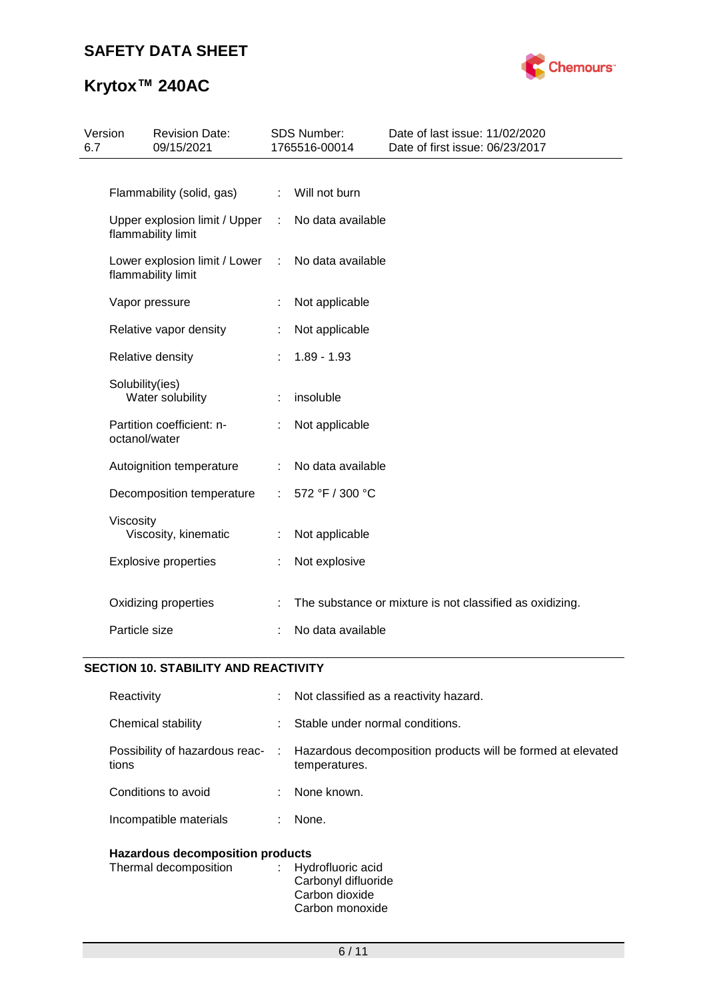

# **Krytox™ 240AC**

| 6.7 | Version         | <b>Revision Date:</b><br>09/15/2021                 |                           | <b>SDS Number:</b><br>1765516-00014 | Date of last issue: 11/02/2020<br>Date of first issue: 06/23/2017 |
|-----|-----------------|-----------------------------------------------------|---------------------------|-------------------------------------|-------------------------------------------------------------------|
|     |                 |                                                     |                           |                                     |                                                                   |
|     |                 | Flammability (solid, gas)                           |                           | : Will not burn                     |                                                                   |
|     |                 | Upper explosion limit / Upper<br>flammability limit | $\mathbb{R}^{\mathbb{Z}}$ | No data available                   |                                                                   |
|     |                 | Lower explosion limit / Lower<br>flammability limit | $\mathbb{R}^n$            | No data available                   |                                                                   |
|     |                 | Vapor pressure                                      |                           | Not applicable                      |                                                                   |
|     |                 | Relative vapor density                              |                           | Not applicable                      |                                                                   |
|     |                 | Relative density                                    |                           | $1.89 - 1.93$                       |                                                                   |
|     | Solubility(ies) | Water solubility                                    |                           | insoluble                           |                                                                   |
|     | octanol/water   | Partition coefficient: n-                           |                           | Not applicable                      |                                                                   |
|     |                 | Autoignition temperature                            |                           | No data available                   |                                                                   |
|     |                 | Decomposition temperature                           | ÷                         | 572 °F / 300 °C                     |                                                                   |
|     | Viscosity       | Viscosity, kinematic                                | t                         | Not applicable                      |                                                                   |
|     |                 | <b>Explosive properties</b>                         |                           | Not explosive                       |                                                                   |
|     |                 | Oxidizing properties                                |                           |                                     | The substance or mixture is not classified as oxidizing.          |
|     | Particle size   |                                                     |                           | No data available                   |                                                                   |
|     |                 |                                                     |                           |                                     |                                                                   |

# **SECTION 10. STABILITY AND REACTIVITY**

| Reactivity                              |    | : Not classified as a reactivity hazard.                                     |
|-----------------------------------------|----|------------------------------------------------------------------------------|
| Chemical stability                      |    | Stable under normal conditions.                                              |
| Possibility of hazardous reac-<br>tions | ÷. | Hazardous decomposition products will be formed at elevated<br>temperatures. |
| Conditions to avoid                     | ÷  | None known.                                                                  |
| Incompatible materials                  |    | None.                                                                        |
|                                         |    |                                                                              |

## **Hazardous decomposition products**

| Thermal decomposition | : Hydrofluoric acid<br>Carbonyl difluoride |
|-----------------------|--------------------------------------------|
|                       | Carbon dioxide                             |
|                       | Carbon monoxide                            |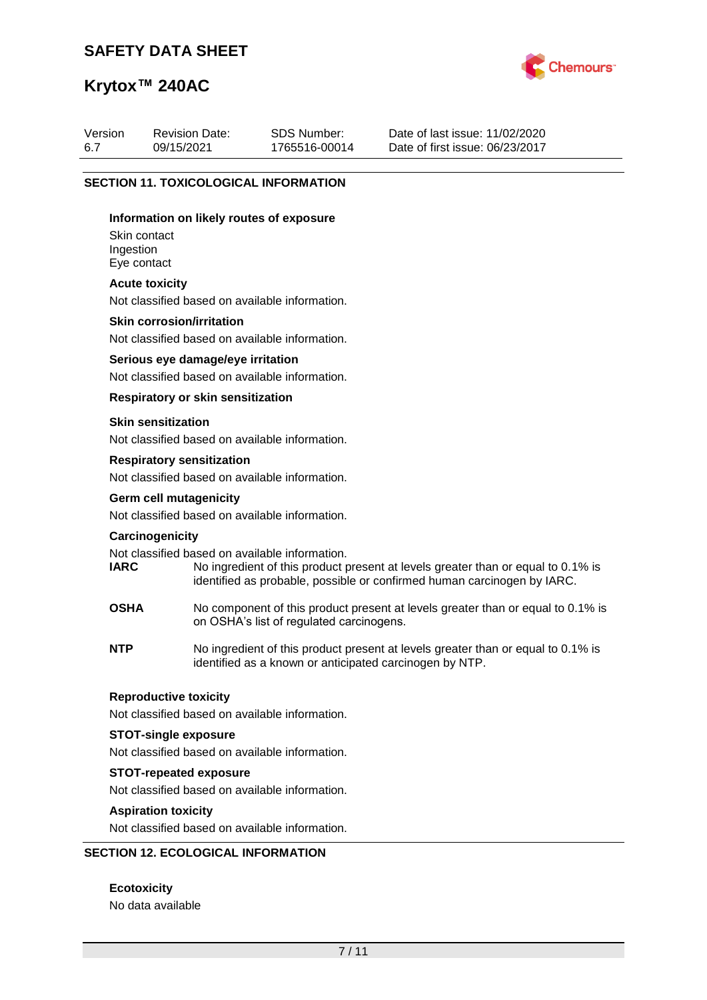Revision Date: 09/15/2021



Date of last issue: 11/02/2020

## **Krytox™ 240AC**

Version 6.7

| 6.7 | 09/15/2021                                                                           | 1765516-00014 | Date of first issue: 06/23/2017 |
|-----|--------------------------------------------------------------------------------------|---------------|---------------------------------|
|     | <b>SECTION 11. TOXICOLOGICAL INFORMATION</b>                                         |               |                                 |
|     | Information on likely routes of exposure<br>Skin contact<br>Ingestion<br>Eye contact |               |                                 |
|     | <b>Acute toxicity</b><br>Not classified based on available information.              |               |                                 |
|     | <b>Skin corrosion/irritation</b><br>Not classified based on available information.   |               |                                 |
|     | Serious eye damage/eye irritation<br>Not classified based on available information.  |               |                                 |
|     | Respiratory or skin sensitization                                                    |               |                                 |
|     | <b>Skin sensitization</b><br>Not classified based on available information.          |               |                                 |
|     | <b>Respiratory sensitization</b><br>Not classified based on available information.   |               |                                 |
|     | Germ cell mutagenicity                                                               |               |                                 |

SDS Number: 1765516-00014

Not classified based on available information.

#### **Carcinogenicity**

Not classified based on available information.<br> **IARC** Mo ingredient of this product p

- No ingredient of this product present at levels greater than or equal to 0.1% is identified as probable, possible or confirmed human carcinogen by IARC.
- **OSHA** No component of this product present at levels greater than or equal to 0.1% is on OSHA's list of regulated carcinogens.
- **NTP** No ingredient of this product present at levels greater than or equal to 0.1% is identified as a known or anticipated carcinogen by NTP.

## **Reproductive toxicity**

Not classified based on available information.

## **STOT-single exposure**

Not classified based on available information.

#### **STOT-repeated exposure**

Not classified based on available information.

#### **Aspiration toxicity**

Not classified based on available information.

## **SECTION 12. ECOLOGICAL INFORMATION**

**Ecotoxicity** No data available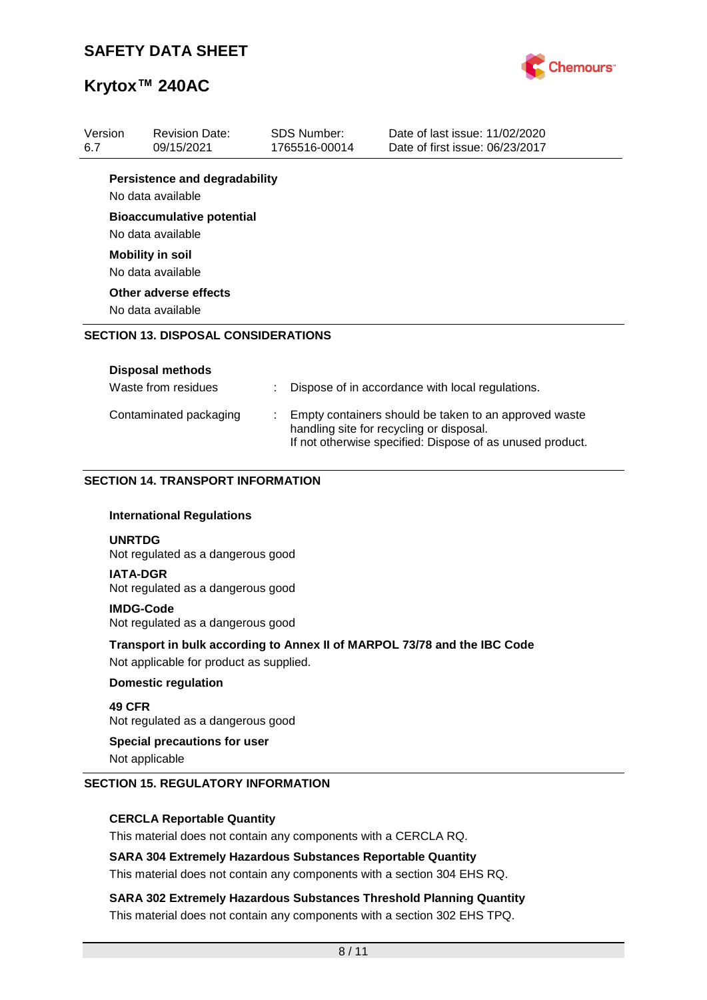

| Version |                                                                                                                     | <b>Revision Date:</b>                                 |  | <b>SDS Number:</b> | Date of last issue: 11/02/2020                                                                                                                                 |  |  |
|---------|---------------------------------------------------------------------------------------------------------------------|-------------------------------------------------------|--|--------------------|----------------------------------------------------------------------------------------------------------------------------------------------------------------|--|--|
| 6.7     |                                                                                                                     | 09/15/2021                                            |  | 1765516-00014      | Date of first issue: 06/23/2017                                                                                                                                |  |  |
|         |                                                                                                                     | <b>Persistence and degradability</b>                  |  |                    |                                                                                                                                                                |  |  |
|         |                                                                                                                     | No data available                                     |  |                    |                                                                                                                                                                |  |  |
|         |                                                                                                                     | <b>Bioaccumulative potential</b><br>No data available |  |                    |                                                                                                                                                                |  |  |
|         |                                                                                                                     | <b>Mobility in soil</b>                               |  |                    |                                                                                                                                                                |  |  |
|         |                                                                                                                     | No data available                                     |  |                    |                                                                                                                                                                |  |  |
|         |                                                                                                                     | Other adverse effects                                 |  |                    |                                                                                                                                                                |  |  |
|         |                                                                                                                     | No data available                                     |  |                    |                                                                                                                                                                |  |  |
|         |                                                                                                                     | <b>SECTION 13. DISPOSAL CONSIDERATIONS</b>            |  |                    |                                                                                                                                                                |  |  |
|         |                                                                                                                     |                                                       |  |                    |                                                                                                                                                                |  |  |
|         |                                                                                                                     | <b>Disposal methods</b>                               |  |                    |                                                                                                                                                                |  |  |
|         |                                                                                                                     | Waste from residues                                   |  |                    | Dispose of in accordance with local regulations.                                                                                                               |  |  |
|         |                                                                                                                     | Contaminated packaging                                |  |                    | Empty containers should be taken to an approved waste<br>handling site for recycling or disposal.<br>If not otherwise specified: Dispose of as unused product. |  |  |
|         |                                                                                                                     |                                                       |  |                    |                                                                                                                                                                |  |  |
|         |                                                                                                                     | <b>SECTION 14. TRANSPORT INFORMATION</b>              |  |                    |                                                                                                                                                                |  |  |
|         |                                                                                                                     |                                                       |  |                    |                                                                                                                                                                |  |  |
|         |                                                                                                                     | <b>International Regulations</b>                      |  |                    |                                                                                                                                                                |  |  |
|         | <b>UNRTDG</b>                                                                                                       | Not regulated as a dangerous good                     |  |                    |                                                                                                                                                                |  |  |
|         | <b>IATA-DGR</b><br>Not regulated as a dangerous good                                                                |                                                       |  |                    |                                                                                                                                                                |  |  |
|         | <b>IMDG-Code</b><br>Not regulated as a dangerous good                                                               |                                                       |  |                    |                                                                                                                                                                |  |  |
|         | Transport in bulk according to Annex II of MARPOL 73/78 and the IBC Code<br>Not applicable for product as supplied. |                                                       |  |                    |                                                                                                                                                                |  |  |
|         |                                                                                                                     | <b>Domestic regulation</b>                            |  |                    |                                                                                                                                                                |  |  |
|         | 49 CFR                                                                                                              | Not regulated as a dangerous good                     |  |                    |                                                                                                                                                                |  |  |
|         |                                                                                                                     | <b>Special precautions for user</b><br>Not applicable |  |                    |                                                                                                                                                                |  |  |

## **SECTION 15. REGULATORY INFORMATION**

## **CERCLA Reportable Quantity**

This material does not contain any components with a CERCLA RQ.

## **SARA 304 Extremely Hazardous Substances Reportable Quantity**

This material does not contain any components with a section 304 EHS RQ.

**SARA 302 Extremely Hazardous Substances Threshold Planning Quantity** This material does not contain any components with a section 302 EHS TPQ.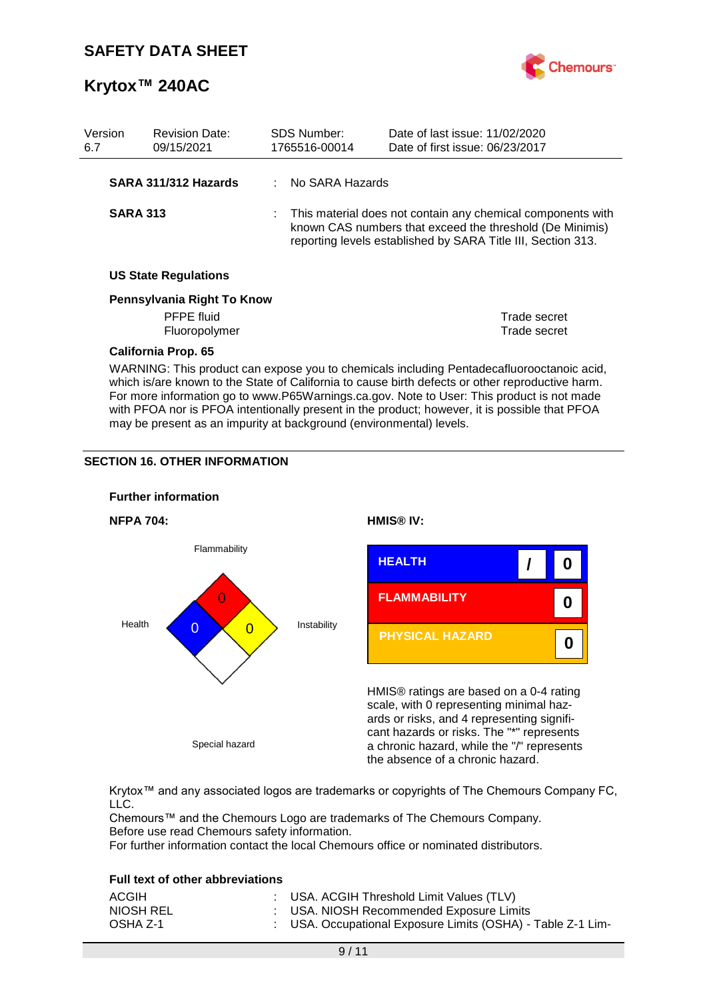

| Version<br>6.7 | <b>Revision Date:</b><br>09/15/2021                                                                                                                                                                                                                                                                                                                                                         |  | <b>SDS Number:</b><br>1765516-00014 | Date of last issue: 11/02/2020<br>Date of first issue: 06/23/2017                                                                                                                       |  |
|----------------|---------------------------------------------------------------------------------------------------------------------------------------------------------------------------------------------------------------------------------------------------------------------------------------------------------------------------------------------------------------------------------------------|--|-------------------------------------|-----------------------------------------------------------------------------------------------------------------------------------------------------------------------------------------|--|
|                | SARA 311/312 Hazards                                                                                                                                                                                                                                                                                                                                                                        |  | No SARA Hazards                     |                                                                                                                                                                                         |  |
|                | <b>SARA 313</b>                                                                                                                                                                                                                                                                                                                                                                             |  |                                     | This material does not contain any chemical components with<br>known CAS numbers that exceed the threshold (De Minimis)<br>reporting levels established by SARA Title III, Section 313. |  |
|                | <b>US State Regulations</b>                                                                                                                                                                                                                                                                                                                                                                 |  |                                     |                                                                                                                                                                                         |  |
|                | Pennsylvania Right To Know                                                                                                                                                                                                                                                                                                                                                                  |  |                                     |                                                                                                                                                                                         |  |
|                | PFPE fluid                                                                                                                                                                                                                                                                                                                                                                                  |  |                                     | Trade secret                                                                                                                                                                            |  |
|                | Fluoropolymer                                                                                                                                                                                                                                                                                                                                                                               |  |                                     | Trade secret                                                                                                                                                                            |  |
|                | <b>California Prop. 65</b>                                                                                                                                                                                                                                                                                                                                                                  |  |                                     |                                                                                                                                                                                         |  |
|                | WARNING: This product can expose you to chemicals including Pentadecafluorooctanoic acid,<br>which is/are known to the State of California to cause birth defects or other reproductive harm.<br>For more information go to www.P65Warnings.ca.gov. Note to User: This product is not made<br>with PFOA nor is PFOA intentionally present in the product; however, it is possible that PFOA |  |                                     |                                                                                                                                                                                         |  |

may be present as an impurity at background (environmental) levels.

## **SECTION 16. OTHER INFORMATION**



Krytox™ and any associated logos are trademarks or copyrights of The Chemours Company FC, LLC.

Chemours™ and the Chemours Logo are trademarks of The Chemours Company. Before use read Chemours safety information.

For further information contact the local Chemours office or nominated distributors.

### **Full text of other abbreviations**

| ACGIH     | : USA. ACGIH Threshold Limit Values (TLV)                   |
|-----------|-------------------------------------------------------------|
| NIOSH REL | : USA. NIOSH Recommended Exposure Limits                    |
| OSHA Z-1  | : USA. Occupational Exposure Limits (OSHA) - Table Z-1 Lim- |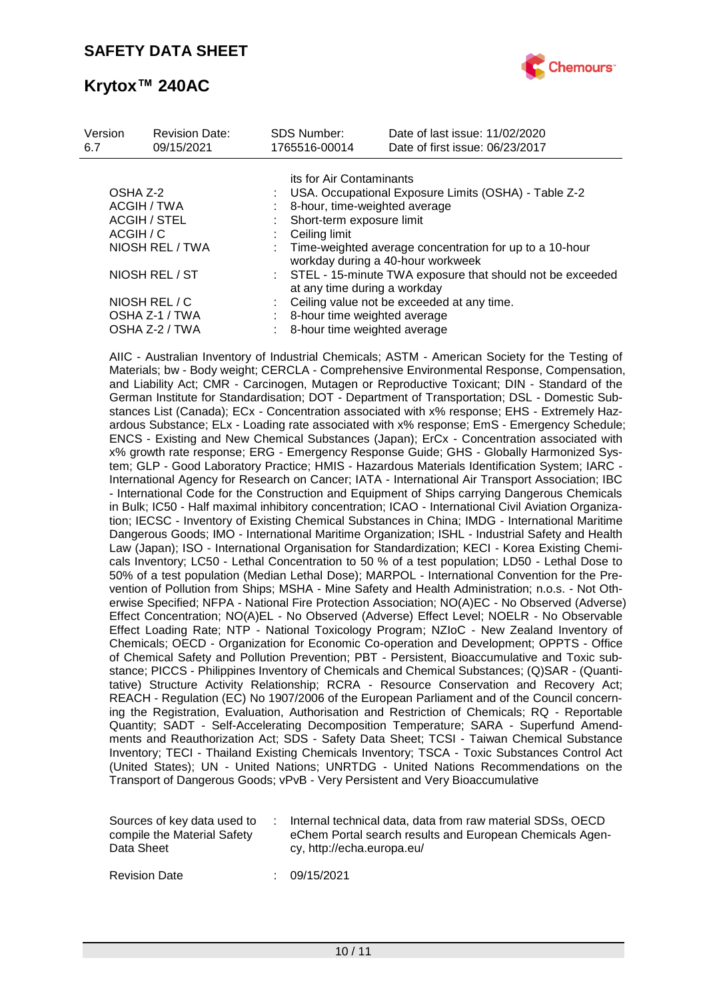

| Version<br>6.7  | <b>Revision Date:</b><br>09/15/2021 |  | <b>SDS Number:</b><br>1765516-00014                                                          | Date of last issue: 11/02/2020<br>Date of first issue: 06/23/2017 |  |  |  |  |
|-----------------|-------------------------------------|--|----------------------------------------------------------------------------------------------|-------------------------------------------------------------------|--|--|--|--|
|                 |                                     |  | its for Air Contaminants                                                                     |                                                                   |  |  |  |  |
| OSHA Z-2        |                                     |  |                                                                                              | USA. Occupational Exposure Limits (OSHA) - Table Z-2              |  |  |  |  |
| ACGIH / TWA     |                                     |  | 8-hour, time-weighted average<br>Short-term exposure limit                                   |                                                                   |  |  |  |  |
| ACGIH / STEL    |                                     |  |                                                                                              |                                                                   |  |  |  |  |
| ACGIH / C       |                                     |  | Ceiling limit                                                                                |                                                                   |  |  |  |  |
| NIOSH REL / TWA |                                     |  | Time-weighted average concentration for up to a 10-hour<br>workday during a 40-hour workweek |                                                                   |  |  |  |  |
| NIOSH REL / ST  |                                     |  | at any time during a workday                                                                 | : STEL - 15-minute TWA exposure that should not be exceeded       |  |  |  |  |
|                 | NIOSH REL / C                       |  |                                                                                              | Ceiling value not be exceeded at any time.                        |  |  |  |  |
|                 | OSHA Z-1 / TWA                      |  | 8-hour time weighted average                                                                 |                                                                   |  |  |  |  |
|                 | OSHA Z-2 / TWA                      |  | 8-hour time weighted average                                                                 |                                                                   |  |  |  |  |

AIIC - Australian Inventory of Industrial Chemicals; ASTM - American Society for the Testing of Materials; bw - Body weight; CERCLA - Comprehensive Environmental Response, Compensation, and Liability Act; CMR - Carcinogen, Mutagen or Reproductive Toxicant; DIN - Standard of the German Institute for Standardisation; DOT - Department of Transportation; DSL - Domestic Substances List (Canada); ECx - Concentration associated with x% response; EHS - Extremely Hazardous Substance; ELx - Loading rate associated with x% response; EmS - Emergency Schedule; ENCS - Existing and New Chemical Substances (Japan); ErCx - Concentration associated with x% growth rate response; ERG - Emergency Response Guide; GHS - Globally Harmonized System; GLP - Good Laboratory Practice; HMIS - Hazardous Materials Identification System; IARC - International Agency for Research on Cancer; IATA - International Air Transport Association; IBC - International Code for the Construction and Equipment of Ships carrying Dangerous Chemicals in Bulk; IC50 - Half maximal inhibitory concentration; ICAO - International Civil Aviation Organization; IECSC - Inventory of Existing Chemical Substances in China; IMDG - International Maritime Dangerous Goods; IMO - International Maritime Organization; ISHL - Industrial Safety and Health Law (Japan); ISO - International Organisation for Standardization; KECI - Korea Existing Chemicals Inventory; LC50 - Lethal Concentration to 50 % of a test population; LD50 - Lethal Dose to 50% of a test population (Median Lethal Dose); MARPOL - International Convention for the Prevention of Pollution from Ships; MSHA - Mine Safety and Health Administration; n.o.s. - Not Otherwise Specified; NFPA - National Fire Protection Association; NO(A)EC - No Observed (Adverse) Effect Concentration; NO(A)EL - No Observed (Adverse) Effect Level; NOELR - No Observable Effect Loading Rate; NTP - National Toxicology Program; NZIoC - New Zealand Inventory of Chemicals; OECD - Organization for Economic Co-operation and Development; OPPTS - Office of Chemical Safety and Pollution Prevention; PBT - Persistent, Bioaccumulative and Toxic substance; PICCS - Philippines Inventory of Chemicals and Chemical Substances; (Q)SAR - (Quantitative) Structure Activity Relationship; RCRA - Resource Conservation and Recovery Act; REACH - Regulation (EC) No 1907/2006 of the European Parliament and of the Council concerning the Registration, Evaluation, Authorisation and Restriction of Chemicals; RQ - Reportable Quantity; SADT - Self-Accelerating Decomposition Temperature; SARA - Superfund Amendments and Reauthorization Act; SDS - Safety Data Sheet; TCSI - Taiwan Chemical Substance Inventory; TECI - Thailand Existing Chemicals Inventory; TSCA - Toxic Substances Control Act (United States); UN - United Nations; UNRTDG - United Nations Recommendations on the Transport of Dangerous Goods; vPvB - Very Persistent and Very Bioaccumulative

| Sources of key data used to<br>compile the Material Safety<br>Data Sheet |  | Internal technical data, data from raw material SDSs, OECD<br>eChem Portal search results and European Chemicals Agen-<br>cy, http://echa.europa.eu/ |
|--------------------------------------------------------------------------|--|------------------------------------------------------------------------------------------------------------------------------------------------------|
|--------------------------------------------------------------------------|--|------------------------------------------------------------------------------------------------------------------------------------------------------|

Revision Date : 09/15/2021